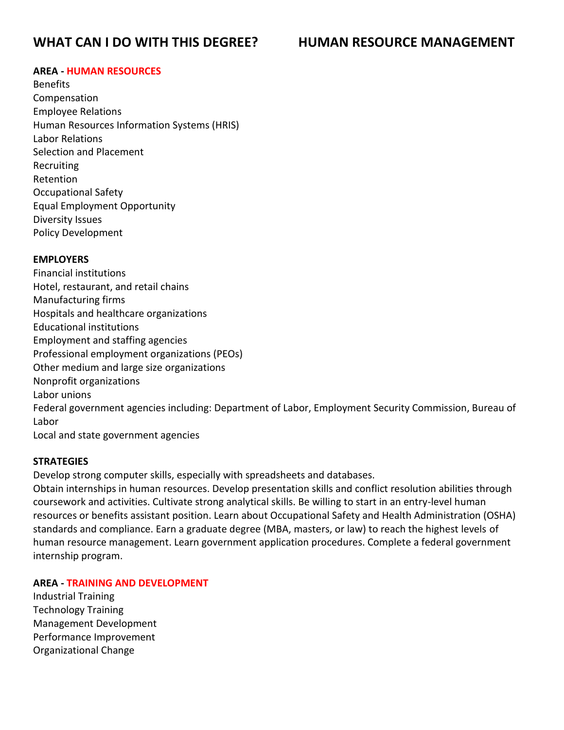# **WHAT CAN I DO WITH THIS DEGREE? HUMAN RESOURCE MANAGEMENT**

### **AREA - HUMAN RESOURCES**

Benefits Compensation Employee Relations Human Resources Information Systems (HRIS) Labor Relations Selection and Placement Recruiting Retention Occupational Safety Equal Employment Opportunity Diversity Issues Policy Development

#### **EMPLOYERS**

Financial institutions Hotel, restaurant, and retail chains Manufacturing firms Hospitals and healthcare organizations Educational institutions Employment and staffing agencies Professional employment organizations (PEOs) Other medium and large size organizations Nonprofit organizations Labor unions Federal government agencies including: Department of Labor, Employment Security Commission, Bureau of Labor

Local and state government agencies

#### **STRATEGIES**

Develop strong computer skills, especially with spreadsheets and databases.

Obtain internships in human resources. Develop presentation skills and conflict resolution abilities through coursework and activities. Cultivate strong analytical skills. Be willing to start in an entry-level human resources or benefits assistant position. Learn about Occupational Safety and Health Administration (OSHA) standards and compliance. Earn a graduate degree (MBA, masters, or law) to reach the highest levels of human resource management. Learn government application procedures. Complete a federal government internship program.

#### **AREA - TRAINING AND DEVELOPMENT**

Industrial Training Technology Training Management Development Performance Improvement Organizational Change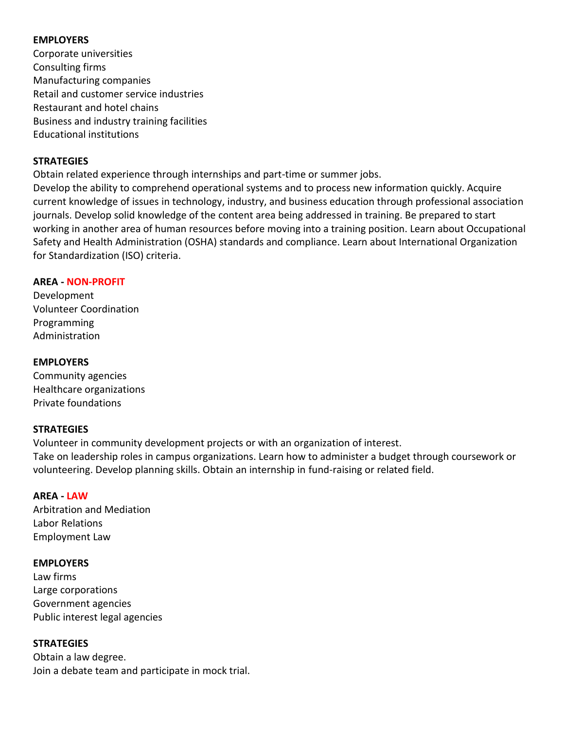# **EMPLOYERS**

Corporate universities Consulting firms Manufacturing companies Retail and customer service industries Restaurant and hotel chains Business and industry training facilities Educational institutions

# **STRATEGIES**

Obtain related experience through internships and part-time or summer jobs. Develop the ability to comprehend operational systems and to process new information quickly. Acquire current knowledge of issues in technology, industry, and business education through professional association journals. Develop solid knowledge of the content area being addressed in training. Be prepared to start working in another area of human resources before moving into a training position. Learn about Occupational Safety and Health Administration (OSHA) standards and compliance. Learn about International Organization for Standardization (ISO) criteria.

# **AREA - NON-PROFIT**

Development Volunteer Coordination Programming Administration

# **EMPLOYERS**

Community agencies Healthcare organizations Private foundations

# **STRATEGIES**

Volunteer in community development projects or with an organization of interest. Take on leadership roles in campus organizations. Learn how to administer a budget through coursework or volunteering. Develop planning skills. Obtain an internship in fund-raising or related field.

#### **AREA - LAW**

Arbitration and Mediation Labor Relations Employment Law

#### **EMPLOYERS**

Law firms Large corporations Government agencies Public interest legal agencies

# **STRATEGIES**

Obtain a law degree. Join a debate team and participate in mock trial.